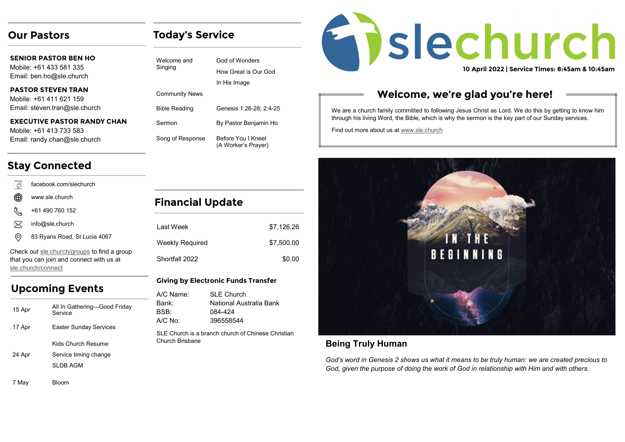## **Our Pastors**

# **Today's Service**

God of Wonders How Great is Our God

Genesis 1:26-28; 2:4-25

By Pastor Benjamin Ho

Before You I Kneel (A Worker's Prayer)

In His Image

| <b>SENIOR PASTOR BEN HO</b><br>Mobile: +61 433 581 335<br>Email: ben.ho@sle.church | Welcome and<br>Singing                        |
|------------------------------------------------------------------------------------|-----------------------------------------------|
| PASTOR STEVEN TRAN<br>Mobile: +61 411 621 159<br>Email: steven.tran@sle.church     | <b>Community News</b><br><b>Bible Reading</b> |
| <b>EXECUTIVE PASTOR RANDY CHAN</b><br>Mobile: +61 413 733 583                      | Sermon                                        |
| Email: randy.chan@sle.church                                                       | Song of Response                              |

# **Stay Connected**

| 4              | facebook.com/slechurch                      |                         |     |
|----------------|---------------------------------------------|-------------------------|-----|
| ⊕              | www.sle.church                              | <b>Financial Update</b> |     |
| ₩              | +61 490 760 152                             |                         |     |
|                | info@sle.church                             | I ast Week              | \$7 |
| $\circledcirc$ | 83 Ryans Road, St Lucia 4067                | Weekly Required         | \$7 |
|                | Check out sle.church/groups to find a group |                         |     |
|                | that you can join and connect with us at    | Shortfall 2022          |     |
|                | sle.church/connect                          |                         |     |

# **Upcoming Events**

| 15 Apr  | All In Gathering—Good Friday<br>Service                 |
|---------|---------------------------------------------------------|
| 17 Apr  | <b>Easter Sunday Services</b>                           |
| 24 Apr  | Kids Church Resume<br>Service timing change<br>SLDB AGM |
| $7$ May | Rl∩∩m                                                   |

| I ast Week      | \$7.126.26 |
|-----------------|------------|
| Weekly Required | \$7,500.00 |
| Shortfall 2022  | \$0.00     |

#### **Giving by Electronic Funds Transfer**

| A/C Name:                                                             | <b>SLE Church</b>       |
|-----------------------------------------------------------------------|-------------------------|
| Bank:                                                                 | National Australia Bank |
| BSB:                                                                  | 084-424                 |
| A/C No:                                                               | 396558544               |
| SLE Church is a branch church of Chinese Christian<br>Church Brisbane |                         |

# **Enslechurch 10 April 2022 | Service Times: 8:45am & 10:45am**

# **Welcome, we're glad you're here!**

We are a church family committed to following Jesus Christ as Lord. We do this by getting to know him through his living Word, the Bible, which is why the sermon is the key part of our Sunday services.

Find out more about us at [www.sle.church](https://sle.church/)



### **Being Truly Human**

*God's word in Genesis 2 shows us what it means to be truly human: we are created precious to God, given the purpose of doing the work of God in relationship with Him and with others.* 

7 May Bloom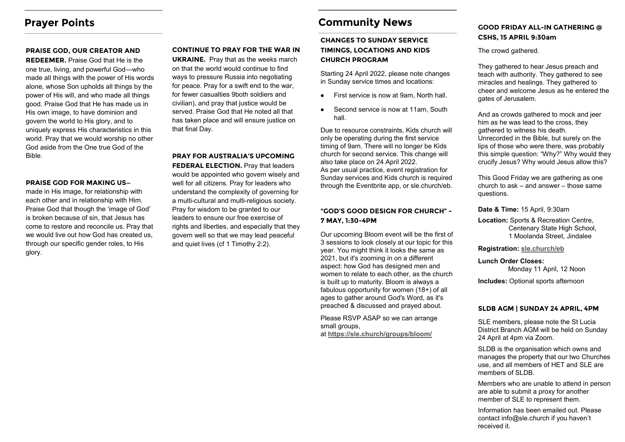## **Prayer Points**

#### **PRAISE GOD, OUR CREATOR AND**

**REDEEMER.** Praise God that He is the one true, living, and powerful God—who made all things with the power of His words alone, whose Son upholds all things by the power of His will, and who made all things good. Praise God that He has made us in His own image, to have dominion and govern the world to His glory, and to uniquely express His characteristics in this world. Pray that we would worship no other God aside from the One true God of the Bible.

#### **PRAISE GOD FOR MAKING US—**

made in His image, for relationship with each other and in relationship with Him. Praise God that though the 'image of God' is broken because of sin, that Jesus has come to restore and reconcile us. Pray that we would live out how God has created us, through our specific gender roles, to His glory.

#### **CONTINUE TO PRAY FOR THE WAR IN**

**UKRAINE.** Pray that as the weeks march on that the world would continue to find ways to pressure Russia into negotiating for peace. Pray for a swift end to the war, for fewer casualties 9both soldiers and civilian), and pray that justice would be served. Praise God that He noted all that has taken place and will ensure justice on that final Day.

**PRAY FOR AUSTRALIA'S UPCOMING FEDERAL ELECTION.** Pray that leaders would be appointed who govern wisely and well for all citizens. Pray for leaders who understand the complexity of governing for a multi-cultural and multi-religious society. Pray for wisdom to be granted to our leaders to ensure our free exercise of rights and liberties, and especially that they govern well so that we may lead peaceful and quiet lives (cf 1 Timothy 2:2).

## **Community News**

#### **CHANGES TO SUNDAY SERVICE TIMINGS, LOCATIONS AND KIDS CHURCH PROGRAM**

Starting 24 April 2022, please note changes in Sunday service times and locations:

- First service is now at 9am, North hall.  $\bullet$
- Second service is now at 11am, South  $\bullet$ hall.

Due to resource constraints, Kids church will only be operating during the first service timing of 9am. There will no longer be Kids church for second service. This change will also take place on 24 April 2022. As per usual practice, event registration for Sunday services and Kids church is required through the Eventbrite app, or sle.church/eb.

#### **"GOD'S GOOD DESIGN FOR CHURCH" - 7 MAY, 1:30-4PM**

Our upcoming Bloom event will be the first of 3 sessions to look closely at our topic for this year. You might think it looks the same as 2021, but it's zooming in on a different aspect: how God has designed men and women to relate to each other, as the church is built up to maturity. Bloom is always a fabulous opportunity for women (18+) of all ages to gather around God's Word, as it's preached & discussed and prayed about.

Please RSVP ASAP so we can arrange small groups,

at **<https://sle.church/groups/bloom/>**

#### **GOOD FRIDAY ALL-IN GATHERING @ CSHS, 15 APRIL 9:30am**

The crowd gathered.

They gathered to hear Jesus preach and teach with authority. They gathered to see miracles and healings. They gathered to cheer and welcome Jesus as he entered the gates of Jerusalem.

And as crowds gathered to mock and jeer him as he was lead to the cross, they gathered to witness his death. Unrecorded in the Bible, but surely on the lips of those who were there, was probably this simple question: "Why?" Why would they crucify Jesus? Why would Jesus allow this?

This Good Friday we are gathering as one church to ask – and answer – those same questions.

**Date & Time:** 15 April, 9:30am

**Location:** Sports & Recreation Centre, Centenary State High School, 1 Moolanda Street, Jindalee

**Registration: [sle.church/eb](https://www.eventbrite.com.au/o/sle-church-17137096797)**

**Lunch Order Closes:** 

Monday 11 April, 12 Noon

**Includes:** Optional sports afternoon

#### **SLDB AGM | SUNDAY 24 APRIL, 4PM**

SLE members, please note the St Lucia District Branch AGM will be held on Sunday 24 April at 4pm via Zoom.

SLDB is the organisation which owns and manages the property that our two Churches use, and all members of HET and SLE are members of SLDB.

Members who are unable to attend in person are able to submit a proxy for another member of SLE to represent them.

Information has been emailed out. Please contact info@sle.church if you haven't received it.